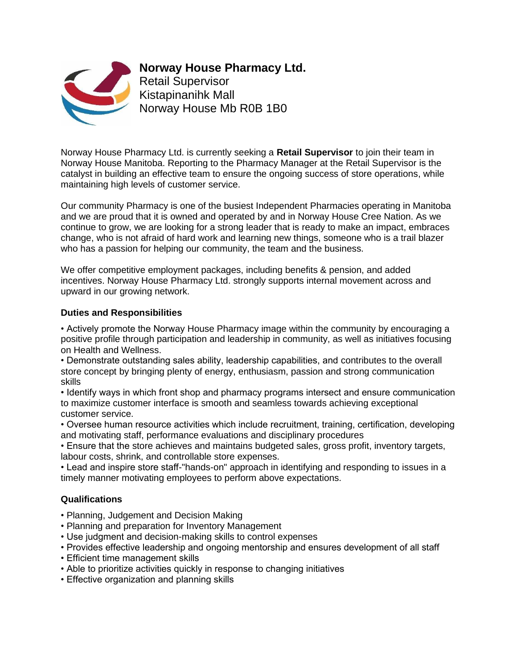

**Norway House Pharmacy Ltd.** 

Retail Supervisor Kistapinanihk Mall Norway House Mb R0B 1B0

Norway House Pharmacy Ltd. is currently seeking a **Retail Supervisor** to join their team in Norway House Manitoba. Reporting to the Pharmacy Manager at the Retail Supervisor is the catalyst in building an effective team to ensure the ongoing success of store operations, while maintaining high levels of customer service.

Our community Pharmacy is one of the busiest Independent Pharmacies operating in Manitoba and we are proud that it is owned and operated by and in Norway House Cree Nation. As we continue to grow, we are looking for a strong leader that is ready to make an impact, embraces change, who is not afraid of hard work and learning new things, someone who is a trail blazer who has a passion for helping our community, the team and the business.

We offer competitive employment packages, including benefits & pension, and added incentives. Norway House Pharmacy Ltd. strongly supports internal movement across and upward in our growing network.

# **Duties and Responsibilities**

• Actively promote the Norway House Pharmacy image within the community by encouraging a positive profile through participation and leadership in community, as well as initiatives focusing on Health and Wellness.

• Demonstrate outstanding sales ability, leadership capabilities, and contributes to the overall store concept by bringing plenty of energy, enthusiasm, passion and strong communication skills

• Identify ways in which front shop and pharmacy programs intersect and ensure communication to maximize customer interface is smooth and seamless towards achieving exceptional customer service.

• Oversee human resource activities which include recruitment, training, certification, developing and motivating staff, performance evaluations and disciplinary procedures

• Ensure that the store achieves and maintains budgeted sales, gross profit, inventory targets, labour costs, shrink, and controllable store expenses.

• Lead and inspire store staff-"hands-on" approach in identifying and responding to issues in a timely manner motivating employees to perform above expectations.

# **Qualifications**

- Planning, Judgement and Decision Making
- Planning and preparation for Inventory Management
- Use judgment and decision-making skills to control expenses
- Provides effective leadership and ongoing mentorship and ensures development of all staff
- Efficient time management skills
- Able to prioritize activities quickly in response to changing initiatives
- Effective organization and planning skills